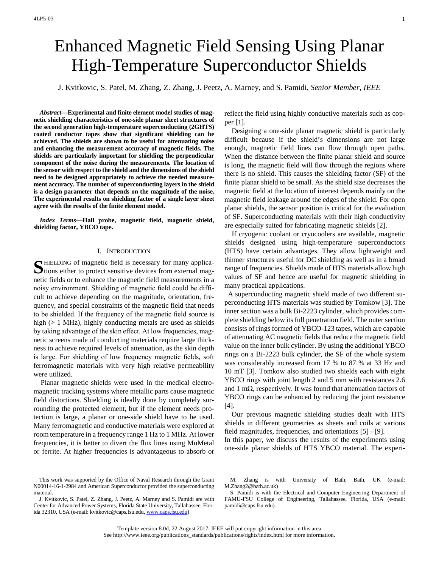# Enhanced Magnetic Field Sensing Using Planar High-Temperature Superconductor Shields

J. Kvitkovic, S. Patel, M. Zhang, Z. Zhang, J. Peetz, A. Marney, and S. Pamidi, *Senior Member, IEEE*

*Abstract***—Experimental and finite element model studies of magnetic shielding characteristics of one-side planar sheet structures of the second generation high-temperature superconducting (2GHTS) coated conductor tapes show that significant shielding can be achieved. The shields are shown to be useful for attenuating noise and enhancing the measurement accuracy of magnetic fields. The shields are particularly important for shielding the perpendicular component of the noise during the measurements. The location of the sensor with respect to the shield and the dimensions of the shield need to be designed appropriately to achieve the needed measurement accuracy. The number of superconducting layers in the shield is a design parameter that depends on the magnitude of the noise. The experimental results on shielding factor of a single layer sheet [a](#page-0-0)gree with the results of the finite element model.**

*Index Terms***—Hall probe, magnetic field, magnetic shield, shielding factor, YBCO tape.**

## I. INTRODUCTION

HIELDING of magnetic field is necessary for many applica-SHIELDING of magnetic field is necessary for many applications either to protect sensitive devices from external magnetic fields or to enhance the magnetic field measurements in a noisy environment. Shielding of magnetic field could be difficult to achieve depending on the magnitude, orientation, frequency, and special constraints of the magnetic field that needs to be shielded. If the frequency of the magnetic field source is high ( $> 1$  MHz), highly conducting metals are used as shields by taking advantage of the skin effect. At low frequencies, magnetic screens made of conducting materials require large thickness to achieve required levels of attenuation, as the skin depth is large. For shielding of low frequency magnetic fields, soft ferromagnetic materials with very high relative permeability were utilized.

Planar magnetic shields were used in the medical electromagnetic tracking systems where metallic parts cause magnetic field distortions. Shielding is ideally done by completely surrounding the protected element, but if the element needs protection is large, a planar or one-side shield have to be used. Many ferromagnetic and conductive materials were explored at room temperature in a frequency range 1 Hz to 1 MHz. At lower frequencies, it is better to divert the flux lines using MuMetal or ferrite. At higher frequencies is advantageous to absorb or

reflect the field using highly conductive materials such as copper [1].

Designing a one-side planar magnetic shield is particularly difficult because if the shield's dimensions are not large enough, magnetic field lines can flow through open paths. When the distance between the finite planar shield and source is long, the magnetic field will flow through the regions where there is no shield. This causes the shielding factor (SF) of the finite planar shield to be small. As the shield size decreases the magnetic field at the location of interest depends mainly on the magnetic field leakage around the edges of the shield. For open planar shields, the sensor position is critical for the evaluation of SF. Superconducting materials with their high conductivity are especially suited for fabricating magnetic shields [2].

If cryogenic coolant or cryocoolers are available, magnetic shields designed using high-temperature superconductors (HTS) have certain advantages. They allow lightweight and thinner structures useful for DC shielding as well as in a broad range of frequencies. Shields made of HTS materials allow high values of SF and hence are useful for magnetic shielding in many practical applications.

 A superconducting magnetic shield made of two different superconducting HTS materials was studied by Tomkow [3]. The inner section was a bulk Bi-2223 cylinder, which provides complete shielding below its full penetration field. The outer section consists of rings formed of YBCO-123 tapes, which are capable of attenuating AC magnetic fields that reduce the magnetic field value on the inner bulk cylinder. By using the additional YBCO rings on a Bi-2223 bulk cylinder, the SF of the whole system was considerably increased from 17 % to 87 % at 33 Hz and 10 mT [3]. Tomkow also studied two shields each with eight YBCO rings with joint length 2 and 5 mm with resistances 2.6 and 1 mΩ, respectively. It was found that attenuation factors of YBCO rings can be enhanced by reducing the joint resistance [4].

Our previous magnetic shielding studies dealt with HTS shields in different geometries as sheets and coils at various field magnitudes, frequencies, and orientations [5] - [9].

In this paper, we discuss the results of the experiments using one-side planar shields of HTS YBCO material. The experi-

<span id="page-0-0"></span>This work was supported by the Office of Naval Research through the Grant N00014-16-1-2984 and American Superconductor provided the superconducting material.

J. Kvitkovic, S. Patel, Z. Zhang, J. Peetz, A. Marney and S. Pamidi are with Center for Advanced Power Systems, Florida State University, Tallahassee, Florida 32310, USA (e-mail: kvitkovic@caps.fsu.edu, [www.caps.fsu.edu\)](http://www.caps.fsu.edu/)

M. Zhang is with University of Bath, Bath, UK (e-mail: M.Zhang2@bath.ac.uk)

S. Pamidi is with the Electrical and Computer Engineering Department of FAMU-FSU College of Engineering, Tallahassee, Florida, USA (e-mail: pamidi@caps.fsu.edu).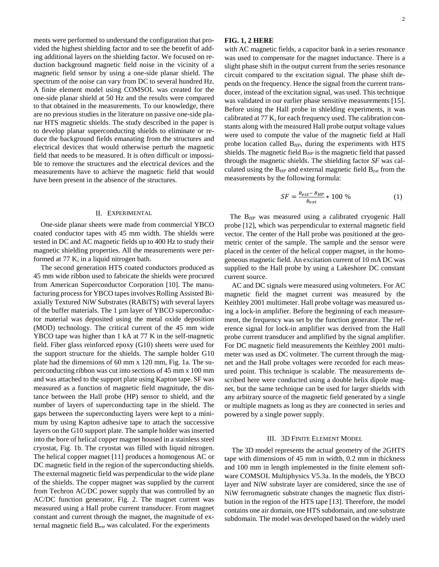ments were performed to understand the configuration that provided the highest shielding factor and to see the benefit of adding additional layers on the shielding factor. We focused on reduction background magnetic field noise in the vicinity of a magnetic field sensor by using a one-side planar shield. The spectrum of the noise can vary from DC to several hundred Hz. A finite element model using COMSOL was created for the one-side planar shield at 50 Hz and the results were compared to that obtained in the measurements. To our knowledge, there are no previous studies in the literature on passive one-side planar HTS magnetic shields. The study described in the paper is to develop planar superconducting shields to eliminate or reduce the background fields emanating from the structures and electrical devices that would otherwise perturb the magnetic field that needs to be measured. It is often difficult or impossible to remove the structures and the electrical devices and the measurements have to achieve the magnetic field that would have been present in the absence of the structures.

#### II. EXPERIMENTAL

One-side planar sheets were made from commercial YBCO coated conductor tapes with 45 mm width. The shields were tested in DC and AC magnetic fields up to 400 Hz to study their magnetic shielding properties. All the measurements were performed at 77 K, in a liquid nitrogen bath.

The second generation HTS coated conductors produced as 45 mm wide ribbon used to fabricate the shields were procured from American Superconductor Corporation [10]. The manufacturing process for YBCO tapes involves Rolling Assisted Biaxially Textured NiW Substrates (RABiTS) with several layers of the buffer materials. The 1 µm layer of YBCO superconductor material was deposited using the metal oxide deposition (MOD) technology. The critical current of the 45 mm wide YBCO tape was higher than 1 kA at 77 K in the self-magnetic field. Fiber glass reinforced epoxy (G10) sheets were used for the support structure for the shields. The sample holder G10 plate had the dimensions of 60 mm x 120 mm, Fig. 1a. The superconducting ribbon was cut into sections of 45 mm x 100 mm and was attached to the support plate using Kapton tape. SF was measured as a function of magnetic field magnitude, the distance between the Hall probe (HP) sensor to shield, and the number of layers of superconducting tape in the shield. The gaps between the superconducting layers were kept to a minimum by using Kapton adhesive tape to attach the successive layers on the G10 support plate. The sample holder was inserted into the bore of helical copper magnet housed in a stainless steel cryostat, Fig. 1b. The cryostat was filled with liquid nitrogen. The helical copper magnet [11] produces a homogenous AC or DC magnetic field in the region of the superconducting shields. The external magnetic field was perpendicular to the wide plane of the shields. The copper magnet was supplied by the current from Techron AC/DC power supply that was controlled by an AC/DC function generator, Fig. 2. The magnet current was measured using a Hall probe current transducer. From magnet constant and current through the magnet, the magnitude of external magnetic field B*ext* was calculated. For the experiments

## **FIG. 1, 2 HERE**

with AC magnetic fields, a capacitor bank in a series resonance was used to compensate for the magnet inductance. There is a slight phase shift in the output current from the series resonance circuit compared to the excitation signal. The phase shift depends on the frequency. Hence the signal from the current transducer, instead of the excitation signal, was used. This technique was validated in our earlier phase sensitive measurements [15]. Before using the Hall probe in shielding experiments, it was calibrated at 77 K, for each frequency used. The calibration constants along with the measured Hall probe output voltage values were used to compute the value of the magnetic field at Hall probe location called B*HP*, during the experiments with HTS shields. The magnetic field B*HP* is the magnetic field that passed through the magnetic shields. The shielding factor *SF* was calculated using the B*HP* and external magnetic field B*ext* from the measurements by the following formula:

$$
SF = \frac{B_{ext} - B_{HP}}{B_{ext}} \times 100\% \tag{1}
$$

 The B*HP* was measured using a calibrated cryogenic Hall probe [12], which was perpendicular to external magnetic field vector. The center of the Hall probe was positioned at the geometric center of the sample. The sample and the sensor were placed in the center of the helical copper magnet, in the homogeneous magnetic field. An excitation current of 10 mA DC was supplied to the Hall probe by using a Lakeshore DC constant current source.

AC and DC signals were measured using voltmeters. For AC magnetic field the magnet current was measured by the Keithley 2001 multimeter. Hall probe voltage was measured using a lock-in amplifier. Before the beginning of each measurement, the frequency was set by the function generator. The reference signal for lock-in amplifier was derived from the Hall probe current transducer and amplified by the signal amplifier. For DC magnetic field measurements the Keithley 2001 multimeter was used as DC voltmeter. The current through the magnet and the Hall probe voltages were recorded for each measured point. This technique is scalable. The measurements described here were conducted using a double helix dipole magnet, but the same technique can be used for larger shields with any arbitrary source of the magnetic field generated by a single or multiple magnets as long as they are connected in series and powered by a single power supply.

#### III. 3D FINITE ELEMENT MODEL

The 3D model represents the actual geometry of the 2GHTS tape with dimensions of 45 mm in width, 0.2 mm in thickness and 100 mm in length implemented in the finite element software COMSOL Multiphysics V5.3a. In the models, the YBCO layer and NiW substrate layer are considered, since the use of NiW ferromagnetic substrate changes the magnetic flux distribution in the region of the HTS tape [13]. Therefore, the model contains one air domain, one HTS subdomain, and one substrate subdomain. The model was developed based on the widely used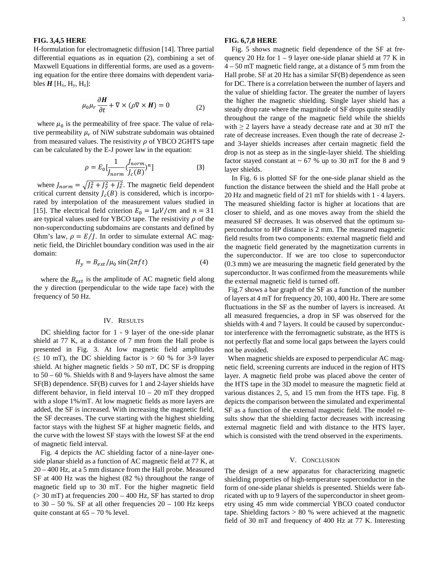## **FIG. 3,4,5 HERE**

H-formulation for electromagnetic diffusion [14]. Three partial differential equations as in equation (2), combining a set of Maxwell Equations in differential forms, are used as a governing equation for the entire three domains with dependent variables  $H$  [H<sub>x</sub>, H<sub>y</sub>, H<sub>z</sub>]:

$$
\mu_0 \mu_r \frac{\partial H}{\partial t} + \nabla \times (\rho \nabla \times H) = 0 \tag{2}
$$

where  $\mu_0$  is the permeability of free space. The value of relative permeability  $\mu_r$  of NiW substrate subdomain was obtained from measured values. The resistivity  $\rho$  of YBCO 2GHTS tape can be calculated by the E-J power law in the equation:

$$
\rho = E_0 \left[ \frac{1}{J_{norm}} \left( \frac{h \, \text{or} \, m}{J_c \left( B \right)} \right)^n \right] \tag{3}
$$

where  $J_{norm} = \sqrt{J_x^2 + J_y^2 + J_z^2}$ . The magnetic field dependent critical current density  $J_c(B)$  is considered, which is incorporated by interpolation of the measurement values studied in [15]. The electrical field criterion  $E_0 = 1 \mu V/cm$  and  $n = 31$ are typical values used for YBCO tape. The resistivity  $\rho$  of the non-superconducting subdomains are constants and defined by Ohm's law,  $\rho = E/I$ . In order to simulate external AC magnetic field, the Dirichlet boundary condition was used in the air domain:

$$
H_y = B_{ext} / \mu_0 \sin(2\pi ft) \tag{4}
$$

where the  $B_{ext}$  is the amplitude of AC magnetic field along the y direction (perpendicular to the wide tape face) with the frequency of 50 Hz.

#### IV. RESULTS

DC shielding factor for 1 - 9 layer of the one-side planar shield at 77 K, at a distance of 7 mm from the Hall probe is presented in Fig. 3. At low magnetic field amplitudes  $(\leq 10 \text{ mT})$ , the DC shielding factor is > 60 % for 3-9 layer shield. At higher magnetic fields  $> 50$  mT, DC SF is dropping to 50 – 60 %. Shields with 8 and 9-layers have almost the same SF(B) dependence. SF(B) curves for 1 and 2-layer shields have different behavior, in field interval  $10 - 20$  mT they dropped with a slope 1%/mT. At low magnetic fields as more layers are added, the SF is increased. With increasing the magnetic field, the SF decreases. The curve starting with the highest shielding factor stays with the highest SF at higher magnetic fields, and the curve with the lowest SF stays with the lowest SF at the end of magnetic field interval.

Fig. 4 depicts the AC shielding factor of a nine-layer oneside planar shield as a function of AC magnetic field at 77 K, at 20 – 400 Hz, at a 5 mm distance from the Hall probe. Measured SF at 400 Hz was the highest (82 %) throughout the range of magnetic field up to 30 mT. For the higher magnetic field  $(> 30 \text{ mT})$  at frequencies  $200 - 400 \text{ Hz}$ , SF has started to drop to  $30 - 50$  %. SF at all other frequencies  $20 - 100$  Hz keeps quite constant at  $65 - 70$  % level.

## **FIG. 6,7,8 HERE**

Fig. 5 shows magnetic field dependence of the SF at frequency 20 Hz for  $1 - 9$  layer one-side planar shield at 77 K in 4 – 50 mT magnetic field range, at a distance of 5 mm from the Hall probe. SF at 20 Hz has a similar SF(B) dependence as seen for DC. There is a correlation between the number of layers and the value of shielding factor. The greater the number of layers the higher the magnetic shielding. Single layer shield has a steady drop rate where the magnitude of SF drops quite steadily throughout the range of the magnetic field while the shields with  $\geq 2$  layers have a steady decrease rate and at 30 mT the rate of decrease increases. Even though the rate of decrease 2 and 3-layer shields increases after certain magnetic field the drop is not as steep as in the single-layer shield. The shielding factor stayed constant at  $\sim 67$  % up to 30 mT for the 8 and 9 layer shields.

In Fig. 6 is plotted SF for the one-side planar shield as the function the distance between the shield and the Hall probe at 20 Hz and magnetic field of 21 mT for shields with 1 - 4 layers. The measured shielding factor is higher at locations that are closer to shield, and as one moves away from the shield the measured SF decreases. It was observed that the optimum superconductor to HP distance is 2 mm. The measured magnetic field results from two components: external magnetic field and the magnetic field generated by the magnetization currents in the superconductor. If we are too close to superconductor (0.3 mm) we are measuring the magnetic field generated by the superconductor. It was confirmed from the measurements while the external magnetic field is turned off.

 Fig.7 shows a bar graph of the SF as a function of the number of layers at 4 mT for frequency 20, 100, 400 Hz. There are some fluctuations in the SF as the number of layers is increased. At all measured frequencies, a drop in SF was observed for the shields with 4 and 7 layers. It could be caused by superconductor interference with the ferromagnetic substrate, as the HTS is not perfectly flat and some local gaps between the layers could not be avoided.

 When magnetic shields are exposed to perpendicular AC magnetic field, screening currents are induced in the region of HTS layer. A magnetic field probe was placed above the center of the HTS tape in the 3D model to measure the magnetic field at various distances 2, 5, and 15 mm from the HTS tape. Fig. 8 depicts the comparison between the simulated and experimental SF as a function of the external magnetic field. The model results show that the shielding factor decreases with increasing external magnetic field and with distance to the HTS layer, which is consisted with the trend observed in the experiments.

## V. CONCLUSION

The design of a new apparatus for characterizing magnetic shielding properties of high-temperature superconductor in the form of one-side planar shields is presented. Shields were fabricated with up to 9 layers of the superconductor in sheet geometry using 45 mm wide commercial YBCO coated conductor tape. Shielding factors > 80 % were achieved at the magnetic field of 30 mT and frequency of 400 Hz at 77 K. Interesting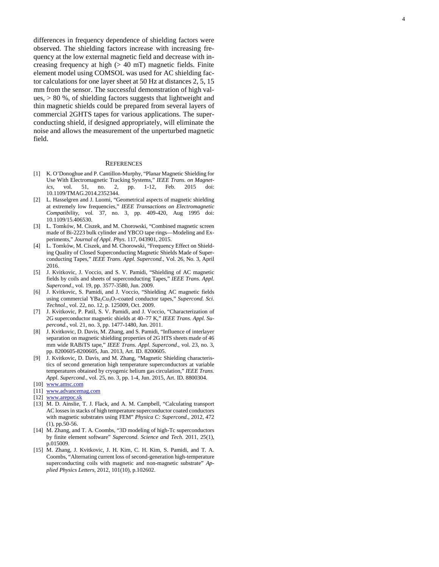differences in frequency dependence of shielding factors were observed. The shielding factors increase with increasing frequency at the low external magnetic field and decrease with increasing frequency at high  $(> 40$  mT) magnetic fields. Finite element model using COMSOL was used for AC shielding factor calculations for one layer sheet at 50 Hz at distances 2, 5, 15 mm from the sensor. The successful demonstration of high values, > 80 %, of shielding factors suggests that lightweight and thin magnetic shields could be prepared from several layers of commercial 2GHTS tapes for various applications . The superconducting shield, if designed appropriately, will eliminate the noise and allows the measurement of the unperturbed magnetic field.

### **REFERENCES**

- [1] K. O'Donoghue and P. Cantillon -Murphy, "Planar Magnetic Shielding for Use With Electromagnetic Tracking Systems, " *IEEE Trans . on Magnetics*, vol. 51, no. 2, pp. 1-12, Feb. 2015 doi: 10.1109/TMAG.2014.2352344.
- [2] L. Hasselgren and J. Luomi, "Geometrical aspects of magnetic shielding at extremely low frequencies, " *IEEE Transactions on Electromagnetic Compatibility*, vol. 37, no. 3, pp. 409 -420, Aug 1995 doi: 10.1109/15.406530 .
- [3] L. Tomków, M. Ciszek, and M. Chorowski, "Combined magnetic screen made of Bi -2223 bulk cylinder and YBCO tape rings —Modeling and Experiments," *Journal of Appl. Phys*. 117, 043901, 2015.
- [4] L. Tomków, M. Ciszek, and M. Chorowski, "Frequency Effect on Shielding Quality of Closed Superconducting Magnetic Shields Made of Superconducting Tapes," *IEEE Trans. Appl. Supercond.*, Vol. 26, No. 3, April 2016 .
- [5] J. Kvitkovic, J. Voccio, and S. V. Pamidi, "Shielding of AC magnetic fields by coils and sheets of superconducting Tapes," *IEEE Trans. Appl.*  Supercond., vol. 19, pp. 3577-3580, Jun. 2009.
- [6] J. Kvitkovic, S. Pamidi, and J. Voccio, "Shielding AC magnetic fields using commercial YBa2Cu3O7-coated conductor tapes," *Supercond. Sci. Technol*., vol. 22, no. 12, p. 125009, Oct. 2009.
- [7] J. Kvitkovic, P. Patil, S. V. Pamidi, and J. Voccio, "Characterization of 2G superconductor magnetic shields at 40 –77 K," *IEEE Trans. Appl. Supercond*., vol. 21, no. 3, pp. 1477-1480, Jun. 2011.
- [8] J. Kvitkovic, D. Davis, M. Zhang, and S. Pamidi, "Influence of interlayer separation on magnetic shielding properties of 2G HTS sheets made of 46 mm wide RABiTS tape," *IEEE Trans. Appl. Supercond*., vol. 23, no. 3, pp. 8200605 -8200605, Jun. 2013, Art. ID. 8200605.
- [9] J. Kvitkovic, D. Davis, and M. Zhang, "Magnetic Shielding characteristics of second generation high temperature superconductors at variable temperatures obtained by cryogenic helium gas circulation," *IEEE Trans. Appl. Supercond.*, vol. 25, no. 3, pp. 1 -4, Jun. 2015, Art. ID. 8800304.
- [10] [www.amsc.com](http://www.amsc.com/)
- [11] [www.advancemag.com](http://www.advancemag.com/)
- [12] [www.arepoc.sk](http://www.arepoc.sk/)
- [13] M. D. Ainslie, T. J. Flack, and A. M. Campbell, "Calculating transport AC losses in stacks of high temperature superconductor coated conductors with magnetic substrates using FEM " *Physica C: Supercond* ., 2012, 472 (1), pp.50 -56.
- [14] M. Zhang, and T. A. Coombs, "3D modeling of high-Tc superconductors by finite element software " *Supercond . Science and Tech .* 2011, 25(1), p.015009.
- [15] M. Zhang, J. Kvitkovic, J. H. Kim, C. H. Kim, S. Pamidi, and T. A. Coombs, "Alternating current loss of second -generation high -temperature superconducting coils with magnetic and non -magnetic substrate " *Applied Physics Letters*, 2012, 101(10), p.102602.